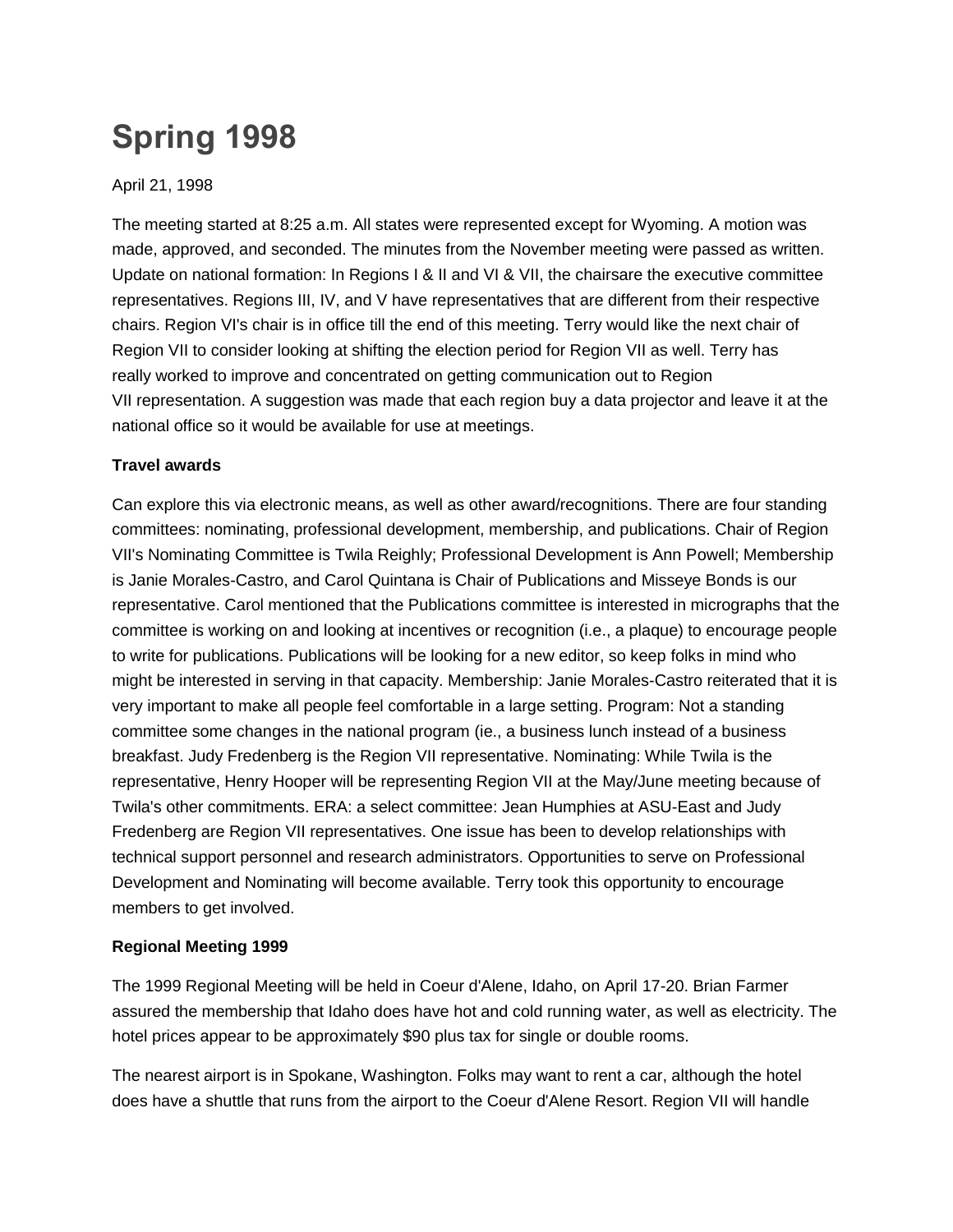# **Spring 1998**

## April 21, 1998

The meeting started at 8:25 a.m. All states were represented except for Wyoming. A motion was made, approved, and seconded. The minutes from the November meeting were passed as written. Update on national formation: In Regions I & II and VI & VII, the chairsare the executive committee representatives. Regions III, IV, and V have representatives that are different from their respective chairs. Region VI's chair is in office till the end of this meeting. Terry would like the next chair of Region VII to consider looking at shifting the election period for Region VII as well. Terry has really worked to improve and concentrated on getting communication out to Region VII representation. A suggestion was made that each region buy a data projector and leave it at the national office so it would be available for use at meetings.

### **Travel awards**

Can explore this via electronic means, as well as other award/recognitions. There are four standing committees: nominating, professional development, membership, and publications. Chair of Region VII's Nominating Committee is Twila Reighly; Professional Development is Ann Powell; Membership is Janie Morales-Castro, and Carol Quintana is Chair of Publications and Misseye Bonds is our representative. Carol mentioned that the Publications committee is interested in micrographs that the committee is working on and looking at incentives or recognition (i.e., a plaque) to encourage people to write for publications. Publications will be looking for a new editor, so keep folks in mind who might be interested in serving in that capacity. Membership: Janie Morales-Castro reiterated that it is very important to make all people feel comfortable in a large setting. Program: Not a standing committee some changes in the national program (ie., a business lunch instead of a business breakfast. Judy Fredenberg is the Region VII representative. Nominating: While Twila is the representative, Henry Hooper will be representing Region VII at the May/June meeting because of Twila's other commitments. ERA: a select committee: Jean Humphies at ASU-East and Judy Fredenberg are Region VII representatives. One issue has been to develop relationships with technical support personnel and research administrators. Opportunities to serve on Professional Development and Nominating will become available. Terry took this opportunity to encourage members to get involved.

## **Regional Meeting 1999**

The 1999 Regional Meeting will be held in Coeur d'Alene, Idaho, on April 17-20. Brian Farmer assured the membership that Idaho does have hot and cold running water, as well as electricity. The hotel prices appear to be approximately \$90 plus tax for single or double rooms.

The nearest airport is in Spokane, Washington. Folks may want to rent a car, although the hotel does have a shuttle that runs from the airport to the Coeur d'Alene Resort. Region VII will handle